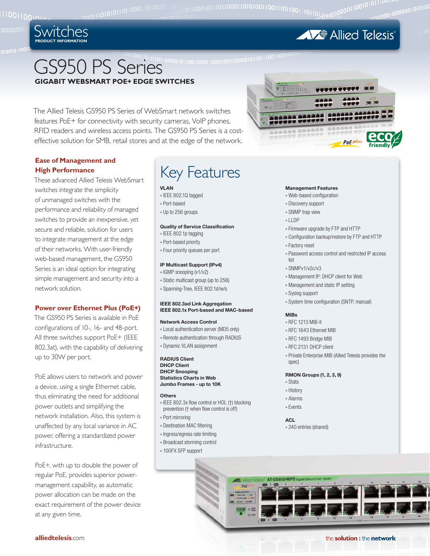

**AVE Allied Telesis** 

# GS950 PS Series **GIGABIT WEBSMART POE+ EDGE SWITCHES**

The Allied Telesis GS950 PS Series of WebSmart network switches features PoE+ for connectivity with security cameras, VoIP phones, RFID readers and wireless access points. The GS950 PS Series is a costeffective solution for SMB, retail stores and at the edge of the network.

# **Ease of Management and High Performance**

These advanced Allied Telesis WebSmart switches integrate the simplicity of unmanaged switches with the performance and reliability of managed switches to provide an inexpensive, yet secure and reliable, solution for users to integrate management at the edge of their networks. With user-friendly web-based management, the GS950 Series is an ideal option for integrating simple management and security into a network solution.

# **Power over Ethernet Plus (PoE+)**

The GS950 PS Series is available in PoE configurations of 10-, 16- and 48-port. All three switches support PoE+ (IEEE 802.3at), with the capability of delivering up to 30W per port.

PoE allows users to network and power a device, using a single Ethernet cable, thus eliminating the need for additional power outlets and simplifying the network installation. Also, this system is unaffected by any local variance in AC power, offering a standardized power infrastructure.

PoE+, with up to double the power of regular PoE, provides superior powermanagement capability, as automatic power allocation can be made on the exact requirement of the power device at any given time.

# Key Features

# **VLAN**

- » IEEE 802.1Q tagged
- » Port-based
- » Up to 256 groups

# **Quality of Service Classification**

- » IEEE 802.1p tagging
- » Port-based priority
- » Four priority queues per port

# **IP Multicast Support (IPv4)**

- » IGMP snooping (v1/v2)
- » Static multicast group (up to 256)
- » Spanning-Tree, IEEE 802.1d/w/s

## **IEEE 802.3ad Link Aggregation IEEE 802.1x Port-based and MAC-based**

#### **Network Access Control**

- » Local authentication server (MD5 only)
- » Remote authentication through RADIUS
- » Dynamic VLAN assignment

**RADIUS Client DHCP Client DHCP Snooping Statistics Charts in Web Jumbo Frames - up to 10K**

#### **Others**

- » IEEE 802.3x flow control or HOL (†) blocking prevention († when flow control is off)
- » Port mirroring
- » Destination MAC filtering
- » Ingress/egress rate limiting
- » Broadcast storming control
- » 100FX SFP support

# **ESSIBILITY** AAAAAA 200000 PoE plus

## **Management Features**

- » Web-based configuration
- » Discovery support
- » SNMP trap view
- » LLDP
- » Firmware upgrade by FTP and HTTP
- » Configuration backup/restore by FTP and HTTP
- » Factory reset
- » Password access control and restricted IP access list
- » SNMPv1/v2c/v3
- » Management IP: DHCP client for Web
- » Management and static IP setting
- » Syslog support
- » System time configuration (SNTP, manual)

#### **MIBs**

- » RFC 1213 MIB-II
- » RFC 1643 Ethernet MIB
- » RFC 1493 Bridge MIB
- » RFC 2131 DHCP client
- » Private Enterprise MIB (Allied Telesis provides the spec)

# **RMON Groups (1, 2, 3, 9)**

- » Stats
- » History
- » Alarms
- » Events

**ACL** » 240 entries (shared)



the solution : the network